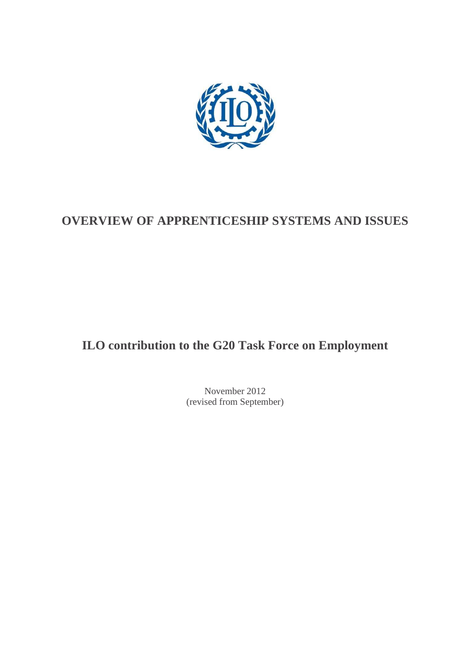

# **OVERVIEW OF APPRENTICESHIP SYSTEMS AND ISSUES**

# **ILO contribution to the G20 Task Force on Employment**

November 2012 (revised from September)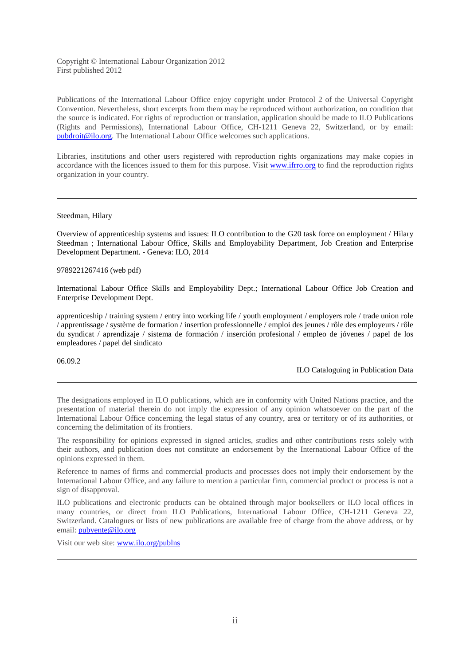Copyright © International Labour Organization 2012 First published 2012

Publications of the International Labour Office enjoy copyright under Protocol 2 of the Universal Copyright Convention. Nevertheless, short excerpts from them may be reproduced without authorization, on condition that the source is indicated. For rights of reproduction or translation, application should be made to ILO Publications (Rights and Permissions), International Labour Office, CH-1211 Geneva 22, Switzerland, or by email: pubdroit@ilo.org. The International Labour Office welcomes such applications.

Libraries, institutions and other users registered with reproduction rights organizations may make copies in accordance with the licences issued to them for this purpose. Visit www.ifrro.org to find the reproduction rights organization in your country.

Steedman, Hilary

Overview of apprenticeship systems and issues: ILO contribution to the G20 task force on employment / Hilary Steedman ; International Labour Office, Skills and Employability Department, Job Creation and Enterprise Development Department. - Geneva: ILO, 2014

9789221267416 (web pdf)

International Labour Office Skills and Employability Dept.; International Labour Office Job Creation and Enterprise Development Dept.

apprenticeship / training system / entry into working life / youth employment / employers role / trade union role / apprentissage / système de formation / insertion professionnelle / emploi des jeunes / rôle des employeurs / rôle du syndicat / aprendizaje / sistema de formación / inserción profesional / empleo de jóvenes / papel de los empleadores / papel del sindicato

06.09.2

ILO Cataloguing in Publication Data

The designations employed in ILO publications, which are in conformity with United Nations practice, and the presentation of material therein do not imply the expression of any opinion whatsoever on the part of the International Labour Office concerning the legal status of any country, area or territory or of its authorities, or concerning the delimitation of its frontiers.

The responsibility for opinions expressed in signed articles, studies and other contributions rests solely with their authors, and publication does not constitute an endorsement by the International Labour Office of the opinions expressed in them.

Reference to names of firms and commercial products and processes does not imply their endorsement by the International Labour Office, and any failure to mention a particular firm, commercial product or process is not a sign of disapproval.

ILO publications and electronic products can be obtained through major booksellers or ILO local offices in many countries, or direct from ILO Publications, International Labour Office, CH-1211 Geneva 22, Switzerland. Catalogues or lists of new publications are available free of charge from the above address, or by email: pubvente@ilo.org

Visit our web site: www.ilo.org/publns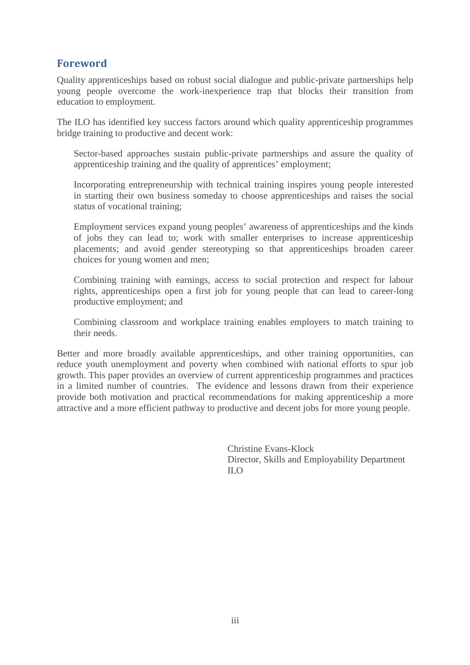### **Foreword**

Quality apprenticeships based on robust social dialogue and public-private partnerships help young people overcome the work-inexperience trap that blocks their transition from education to employment.

The ILO has identified key success factors around which quality apprenticeship programmes bridge training to productive and decent work:

Sector-based approaches sustain public-private partnerships and assure the quality of apprenticeship training and the quality of apprentices' employment;

Incorporating entrepreneurship with technical training inspires young people interested in starting their own business someday to choose apprenticeships and raises the social status of vocational training;

Employment services expand young peoples' awareness of apprenticeships and the kinds of jobs they can lead to; work with smaller enterprises to increase apprenticeship placements; and avoid gender stereotyping so that apprenticeships broaden career choices for young women and men;

Combining training with earnings, access to social protection and respect for labour rights, apprenticeships open a first job for young people that can lead to career-long productive employment; and

Combining classroom and workplace training enables employers to match training to their needs.

Better and more broadly available apprenticeships, and other training opportunities, can reduce youth unemployment and poverty when combined with national efforts to spur job growth. This paper provides an overview of current apprenticeship programmes and practices in a limited number of countries. The evidence and lessons drawn from their experience provide both motivation and practical recommendations for making apprenticeship a more attractive and a more efficient pathway to productive and decent jobs for more young people.

> Christine Evans-Klock Director, Skills and Employability Department ILO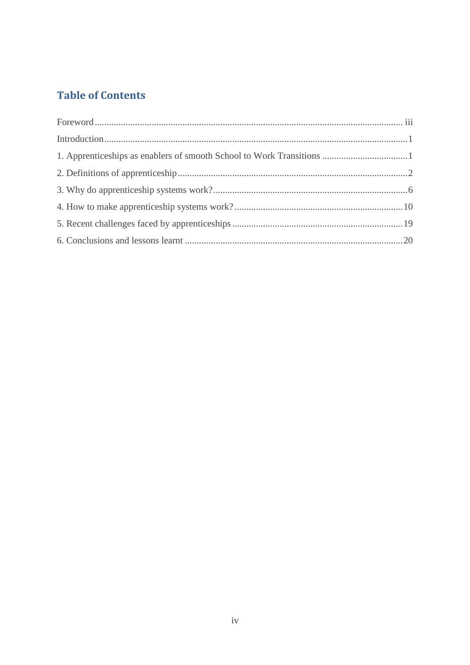# **Table of Contents**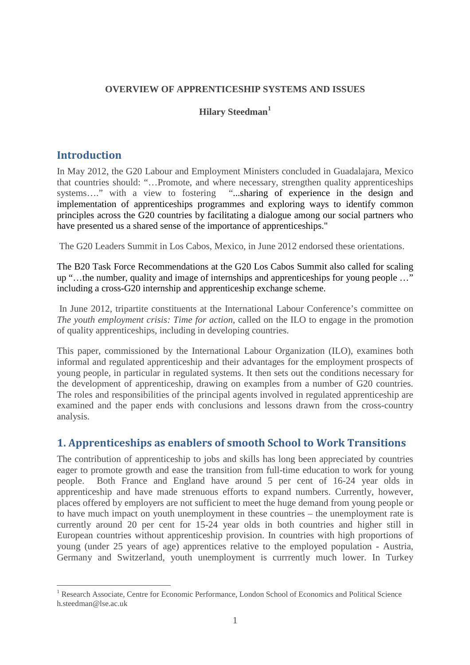### **OVERVIEW OF APPRENTICESHIP SYSTEMS AND ISSUES**

### **Hilary Steedman<sup>1</sup>**

### **Introduction**

 $\overline{a}$ 

In May 2012, the G20 Labour and Employment Ministers concluded in Guadalajara, Mexico that countries should: "…Promote, and where necessary, strengthen quality apprenticeships systems...." with a view to fostering "...sharing of experience in the design and implementation of apprenticeships programmes and exploring ways to identify common principles across the G20 countries by facilitating a dialogue among our social partners who have presented us a shared sense of the importance of apprenticeships."

The G20 Leaders Summit in Los Cabos, Mexico, in June 2012 endorsed these orientations.

The B20 Task Force Recommendations at the G20 Los Cabos Summit also called for scaling up "…the number, quality and image of internships and apprenticeships for young people …" including a cross-G20 internship and apprenticeship exchange scheme.

 In June 2012, tripartite constituents at the International Labour Conference's committee on *The youth employment crisis: Time for action*, called on the ILO to engage in the promotion of quality apprenticeships, including in developing countries.

This paper, commissioned by the International Labour Organization (ILO), examines both informal and regulated apprenticeship and their advantages for the employment prospects of young people, in particular in regulated systems. It then sets out the conditions necessary for the development of apprenticeship, drawing on examples from a number of G20 countries. The roles and responsibilities of the principal agents involved in regulated apprenticeship are examined and the paper ends with conclusions and lessons drawn from the cross-country analysis.

### **1. Apprenticeships as enablers of smooth School to Work Transitions**

The contribution of apprenticeship to jobs and skills has long been appreciated by countries eager to promote growth and ease the transition from full-time education to work for young people. Both France and England have around 5 per cent of 16-24 year olds in apprenticeship and have made strenuous efforts to expand numbers. Currently, however, places offered by employers are not sufficient to meet the huge demand from young people or to have much impact on youth unemployment in these countries – the unemployment rate is currently around 20 per cent for 15-24 year olds in both countries and higher still in European countries without apprenticeship provision. In countries with high proportions of young (under 25 years of age) apprentices relative to the employed population - Austria, Germany and Switzerland, youth unemployment is currrently much lower. In Turkey

<sup>&</sup>lt;sup>1</sup> Research Associate, Centre for Economic Performance, London School of Economics and Political Science h.steedman@lse.ac.uk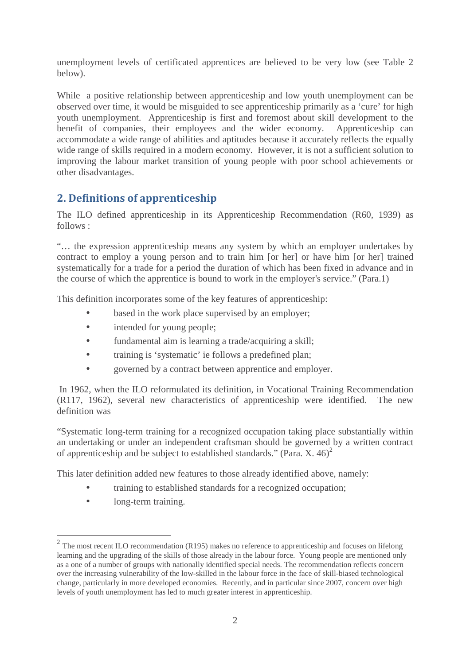unemployment levels of certificated apprentices are believed to be very low (see Table 2 below).

While a positive relationship between apprenticeship and low youth unemployment can be observed over time, it would be misguided to see apprenticeship primarily as a 'cure' for high youth unemployment. Apprenticeship is first and foremost about skill development to the benefit of companies, their employees and the wider economy. Apprenticeship can accommodate a wide range of abilities and aptitudes because it accurately reflects the equally wide range of skills required in a modern economy. However, it is not a sufficient solution to improving the labour market transition of young people with poor school achievements or other disadvantages.

### **2. Definitions of apprenticeship**

The ILO defined apprenticeship in its Apprenticeship Recommendation (R60, 1939) as follows :

"… the expression apprenticeship means any system by which an employer undertakes by contract to employ a young person and to train him [or her] or have him [or her] trained systematically for a trade for a period the duration of which has been fixed in advance and in the course of which the apprentice is bound to work in the employer's service." (Para.1)

This definition incorporates some of the key features of apprenticeship:

- based in the work place supervised by an employer;
- intended for young people;
- fundamental aim is learning a trade/acquiring a skill;
- training is 'systematic' ie follows a predefined plan;
- governed by a contract between apprentice and employer.

 In 1962, when the ILO reformulated its definition, in Vocational Training Recommendation (R117, 1962), several new characteristics of apprenticeship were identified. The new definition was

"Systematic long-term training for a recognized occupation taking place substantially within an undertaking or under an independent craftsman should be governed by a written contract of apprenticeship and be subject to established standards." (Para.  $X. 46$ )<sup>2</sup>

This later definition added new features to those already identified above, namely:

- training to established standards for a recognized occupation;
- long-term training.

<sup>&</sup>lt;sup>2</sup> The most recent ILO recommendation (R195) makes no reference to apprenticeship and focuses on lifelong learning and the upgrading of the skills of those already in the labour force. Young people are mentioned only as a one of a number of groups with nationally identified special needs. The recommendation reflects concern over the increasing vulnerability of the low-skilled in the labour force in the face of skill-biased technological change, particularly in more developed economies. Recently, and in particular since 2007, concern over high levels of youth unemployment has led to much greater interest in apprenticeship.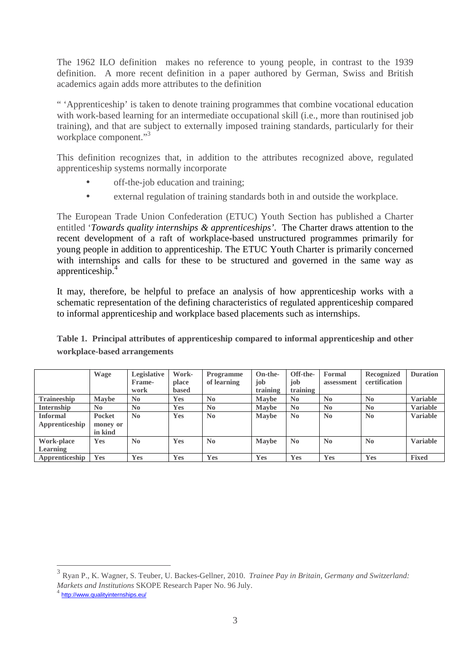The 1962 ILO definition makes no reference to young people, in contrast to the 1939 definition. A more recent definition in a paper authored by German, Swiss and British academics again adds more attributes to the definition

" 'Apprenticeship' is taken to denote training programmes that combine vocational education with work-based learning for an intermediate occupational skill (i.e., more than routinised job training), and that are subject to externally imposed training standards, particularly for their workplace component."<sup>3</sup>

This definition recognizes that, in addition to the attributes recognized above, regulated apprenticeship systems normally incorporate

- off-the-job education and training;
- external regulation of training standards both in and outside the workplace.

The European Trade Union Confederation (ETUC) Youth Section has published a Charter entitled '*Towards quality internships & apprenticeships'*. The Charter draws attention to the recent development of a raft of workplace-based unstructured programmes primarily for young people in addition to apprenticeship. The ETUC Youth Charter is primarily concerned with internships and calls for these to be structured and governed in the same way as apprenticeship.<sup>4</sup>

It may, therefore, be helpful to preface an analysis of how apprenticeship works with a schematic representation of the defining characteristics of regulated apprenticeship compared to informal apprenticeship and workplace based placements such as internships.

| Table 1. Principal attributes of apprenticeship compared to informal apprenticeship and other |  |  |
|-----------------------------------------------------------------------------------------------|--|--|
| workplace-based arrangements                                                                  |  |  |

|                   | <b>Wage</b>            | Legislative            | Work-        | <b>Programme</b>       | On-the-      | Off-the-               | Formal                 | Recognized             | <b>Duration</b> |
|-------------------|------------------------|------------------------|--------------|------------------------|--------------|------------------------|------------------------|------------------------|-----------------|
|                   |                        | Frame-                 | place        | of learning            | job          | job                    | assessment             | certification          |                 |
|                   |                        | work                   | <b>based</b> |                        | training     | training               |                        |                        |                 |
| Traineeship       | <b>Maybe</b>           | $\mathbf{N}\mathbf{0}$ | <b>Yes</b>   | $\mathbf{N}\mathbf{0}$ | <b>Maybe</b> | $\mathbf{N}\mathbf{0}$ | $\mathbf{N}\mathbf{0}$ | $\mathbf{N}\mathbf{0}$ | <b>Variable</b> |
| <b>Internship</b> | $\mathbf{N}\mathbf{0}$ | $\mathbf{N}\mathbf{0}$ | <b>Yes</b>   | $\mathbf{N}\mathbf{0}$ | <b>Maybe</b> | N <sub>0</sub>         | N <sub>0</sub>         | $\mathbf{N}\mathbf{0}$ | <b>Variable</b> |
| <b>Informal</b>   | <b>Pocket</b>          | $\mathbf{N}\mathbf{0}$ | Yes          | $\mathbf{N}\mathbf{0}$ | <b>Maybe</b> | $\mathbf{N}\mathbf{0}$ | $\mathbf{N}\mathbf{0}$ | $\mathbf{N}\mathbf{0}$ | <b>Variable</b> |
| Apprenticeship    | money or               |                        |              |                        |              |                        |                        |                        |                 |
|                   | in kind                |                        |              |                        |              |                        |                        |                        |                 |
| <b>Work-place</b> | Yes                    | $\mathbf{N}\mathbf{0}$ | Yes          | $\mathbf{N}\mathbf{0}$ | Maybe        | $\mathbf{N}\mathbf{0}$ | $\mathbf{N}\mathbf{0}$ | $\mathbf{N}\mathbf{0}$ | <b>Variable</b> |
| <b>Learning</b>   |                        |                        |              |                        |              |                        |                        |                        |                 |
| Apprenticeship    | Yes                    | Yes                    | Yes          | Yes                    | Yes          | Yes                    | Yes                    | Yes                    | <b>Fixed</b>    |

<sup>3</sup> Ryan P., K. Wagner, S. Teuber, U. Backes-Gellner, 2010. *Trainee Pay in Britain, Germany and Switzerland: Markets and Institutions* SKOPE Research Paper No. 96 July.

<sup>4</sup> http://www.qualityinternships.eu/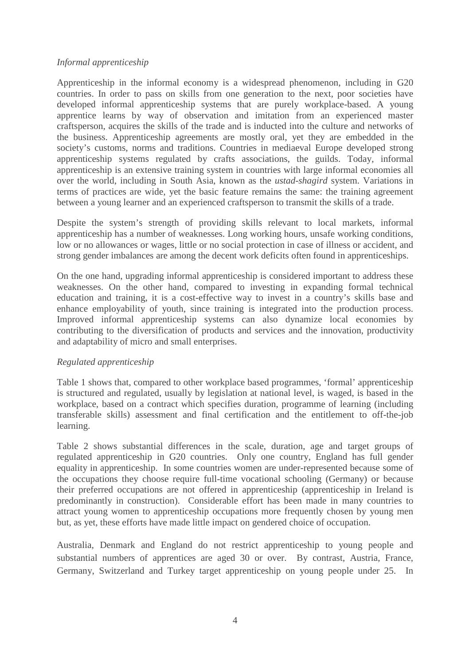### *Informal apprenticeship*

Apprenticeship in the informal economy is a widespread phenomenon, including in G20 countries. In order to pass on skills from one generation to the next, poor societies have developed informal apprenticeship systems that are purely workplace-based. A young apprentice learns by way of observation and imitation from an experienced master craftsperson, acquires the skills of the trade and is inducted into the culture and networks of the business. Apprenticeship agreements are mostly oral, yet they are embedded in the society's customs, norms and traditions. Countries in mediaeval Europe developed strong apprenticeship systems regulated by crafts associations, the guilds. Today, informal apprenticeship is an extensive training system in countries with large informal economies all over the world, including in South Asia, known as the *ustad-shagird* system. Variations in terms of practices are wide, yet the basic feature remains the same: the training agreement between a young learner and an experienced craftsperson to transmit the skills of a trade.

Despite the system's strength of providing skills relevant to local markets, informal apprenticeship has a number of weaknesses. Long working hours, unsafe working conditions, low or no allowances or wages, little or no social protection in case of illness or accident, and strong gender imbalances are among the decent work deficits often found in apprenticeships.

On the one hand, upgrading informal apprenticeship is considered important to address these weaknesses. On the other hand, compared to investing in expanding formal technical education and training, it is a cost-effective way to invest in a country's skills base and enhance employability of youth, since training is integrated into the production process. Improved informal apprenticeship systems can also dynamize local economies by contributing to the diversification of products and services and the innovation, productivity and adaptability of micro and small enterprises.

### *Regulated apprenticeship*

Table 1 shows that, compared to other workplace based programmes, 'formal' apprenticeship is structured and regulated, usually by legislation at national level, is waged, is based in the workplace, based on a contract which specifies duration, programme of learning (including transferable skills) assessment and final certification and the entitlement to off-the-job learning.

Table 2 shows substantial differences in the scale, duration, age and target groups of regulated apprenticeship in G20 countries. Only one country, England has full gender equality in apprenticeship. In some countries women are under-represented because some of the occupations they choose require full-time vocational schooling (Germany) or because their preferred occupations are not offered in apprenticeship (apprenticeship in Ireland is predominantly in construction). Considerable effort has been made in many countries to attract young women to apprenticeship occupations more frequently chosen by young men but, as yet, these efforts have made little impact on gendered choice of occupation.

Australia, Denmark and England do not restrict apprenticeship to young people and substantial numbers of apprentices are aged 30 or over. By contrast, Austria, France, Germany, Switzerland and Turkey target apprenticeship on young people under 25. In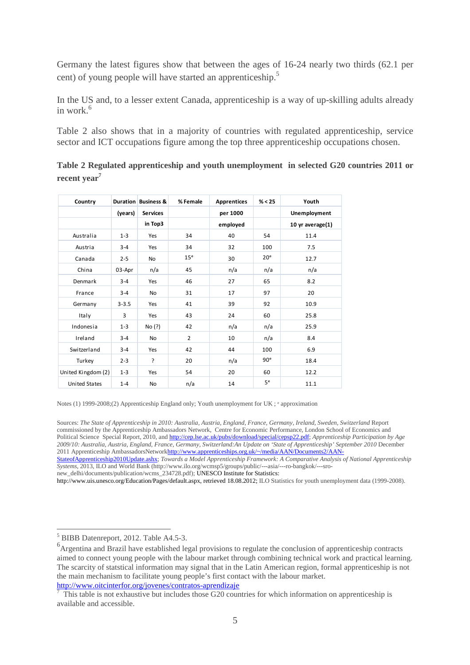Germany the latest figures show that between the ages of 16-24 nearly two thirds (62.1 per cent) of young people will have started an apprenticeship.<sup>5</sup>

In the US and, to a lesser extent Canada, apprenticeship is a way of up-skilling adults already in work  $6$ 

Table 2 also shows that in a majority of countries with regulated apprenticeship, service sector and ICT occupations figure among the top three apprenticeship occupations chosen.

| Country              |           | Duration Business & | % Female        | <b>Apprentices</b> | % < 25          | Youth            |  |
|----------------------|-----------|---------------------|-----------------|--------------------|-----------------|------------------|--|
|                      | (years)   | <b>Services</b>     |                 | per 1000           |                 | Unemployment     |  |
|                      |           | in Top3             |                 | employed           |                 | 10 yr average(1) |  |
| Australia            | $1 - 3$   | Yes                 | 34              | 40                 | 54              | 11.4             |  |
| Austria              | $3 - 4$   | Yes                 | 34              | 32                 | 100             | 7.5              |  |
| Canada               | $2 - 5$   | <b>No</b>           | 15 <sup>e</sup> | 30                 | 20 <sup>e</sup> | 12.7             |  |
| China                | 03-Apr    | n/a                 | 45              | n/a                | n/a             | n/a              |  |
| Denmark              | $3 - 4$   | Yes                 | 46              | 27                 | 65              | 8.2              |  |
| France               | $3 - 4$   | <b>No</b>           | 31              | 17                 | 97              | 20               |  |
| Germany              | $3 - 3.5$ | Yes                 | 41              | 39                 | 92              | 10.9             |  |
| Italy                | 3         | Yes                 | 43              | 24                 | 60              | 25.8             |  |
| Indonesia            | $1 - 3$   | No(?)               | 42              | n/a                | n/a             | 25.9             |  |
| Ireland              | $3 - 4$   | <b>No</b>           | $\overline{2}$  | 10                 | n/a             | 8.4              |  |
| Switzerland          | $3 - 4$   | Yes                 | 42              | 44                 | 100             | 6.9              |  |
| Turkey               | $2 - 3$   | S.                  | 20              | n/a                | 90 <sup>e</sup> | 18.4             |  |
| United Kingdom (2)   | $1 - 3$   | Yes                 | 54              | 20                 | 60              | 12.2             |  |
| <b>United States</b> | $1 - 4$   | <b>No</b>           | n/a             | 14                 | 5 <sup>e</sup>  | 11.1             |  |

**Table 2 Regulated apprenticeship and youth unemployment in selected G20 countries 2011 or recent year<sup>7</sup>**

Notes (1) 1999-2008;(2) Apprenticeship England only; Youth unemployment for UK ;  $\epsilon$  approximation

Sources: *The State of Apprenticeship in 2010: Australia, Austria, England, France, Germany, Ireland, Sweden, Switzerland* Report commissioned by the Apprenticeship Ambassadors Network, Centre for Economic Performance, London School of Economics and Political Science Special Report, 2010, and http://cep.lse.ac.uk/pubs/download/special/cepsp22.pdf; *Apprenticeship Participation by Age 2009/10: Australia, Austria, England, France, Germany, Switzerland:An Update on 'State of Apprenticeship' September 2010* December 2011 Apprenticeship AmbassadorsNetworkhttp://www.apprenticeships.org.uk/~/media/AAN/Documents2/AAN-

StateofApprenticeship2010Update.ashx; *Towards a Model Apprenticeship Framework: A Comparative Analysis of National Apprenticeship Systems*, 2013, ILO and World Bank (http://www.ilo.org/wcmsp5/groups/public/---asia/---ro-bangkok/---sro-

new\_delhi/documents/publication/wcms\_234728.pdf); UNESCO Institute for Statistics:

http://www.uis.unesco.org/Education/Pages/default.aspx, retrieved 18.08.2012; ILO Statistics for youth unemployment data (1999-2008).

 5 BIBB Datenreport, 2012. Table A4.5-3.

<sup>&</sup>lt;sup>6</sup> Argentina and Brazil have established legal provisions to regulate the conclusion of apprenticeship contracts aimed to connect young people with the labour market through combining technical work and practical learning. The scarcity of statstical information may signal that in the Latin American region, formal apprenticeship is not the main mechanism to facilitate young people's first contact with the labour market. http://www.oitcinterfor.org/jovenes/contratos-aprendizaje

<sup>7</sup> This table is not exhaustive but includes those G20 countries for which information on apprenticeship is available and accessible.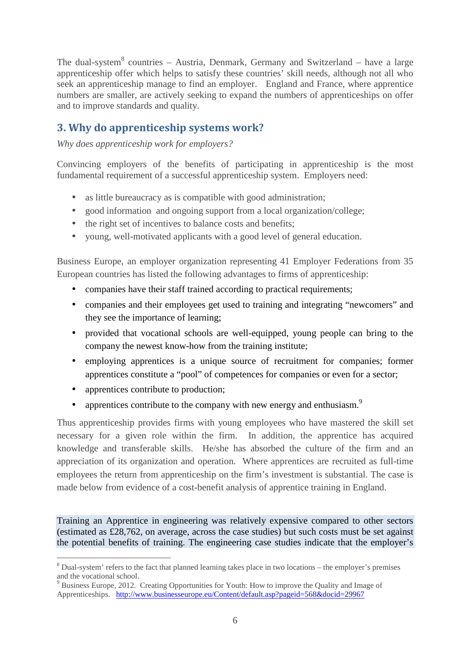The dual-system<sup>8</sup> countries – Austria, Denmark, Germany and Switzerland – have a large apprenticeship offer which helps to satisfy these countries' skill needs, although not all who seek an apprenticeship manage to find an employer. England and France, where apprentice numbers are smaller, are actively seeking to expand the numbers of apprenticeships on offer and to improve standards and quality.

### **3. Why do apprenticeship systems work?**

*Why does apprenticeship work for employers?* 

Convincing employers of the benefits of participating in apprenticeship is the most fundamental requirement of a successful apprenticeship system. Employers need:

- as little bureaucracy as is compatible with good administration;
- good information and ongoing support from a local organization/college;
- the right set of incentives to balance costs and benefits;
- young, well-motivated applicants with a good level of general education.

Business Europe, an employer organization representing 41 Employer Federations from 35 European countries has listed the following advantages to firms of apprenticeship:

- companies have their staff trained according to practical requirements;
- companies and their employees get used to training and integrating "newcomers" and they see the importance of learning;
- provided that vocational schools are well-equipped, young people can bring to the company the newest know-how from the training institute;
- employing apprentices is a unique source of recruitment for companies; former apprentices constitute a "pool" of competences for companies or even for a sector;
- apprentices contribute to production;

 $\overline{a}$ 

• apprentices contribute to the company with new energy and enthusiasm.<sup>9</sup>

Thus apprenticeship provides firms with young employees who have mastered the skill set necessary for a given role within the firm. In addition, the apprentice has acquired knowledge and transferable skills. He/she has absorbed the culture of the firm and an appreciation of its organization and operation. Where apprentices are recruited as full-time employees the return from apprenticeship on the firm's investment is substantial. The case is made below from evidence of a cost-benefit analysis of apprentice training in England.

Training an Apprentice in engineering was relatively expensive compared to other sectors (estimated as £28,762, on average, across the case studies) but such costs must be set against the potential benefits of training. The engineering case studies indicate that the employer's

<sup>&</sup>lt;sup>8</sup> Dual-system' refers to the fact that planned learning takes place in two locations – the employer's premises and the vocational school.

<sup>&</sup>lt;sup>9</sup> Business Europe, 2012. Creating Opportunities for Youth: How to improve the Quality and Image of Apprenticeships. http://www.businesseurope.eu/Content/default.asp?pageid=568&docid=29967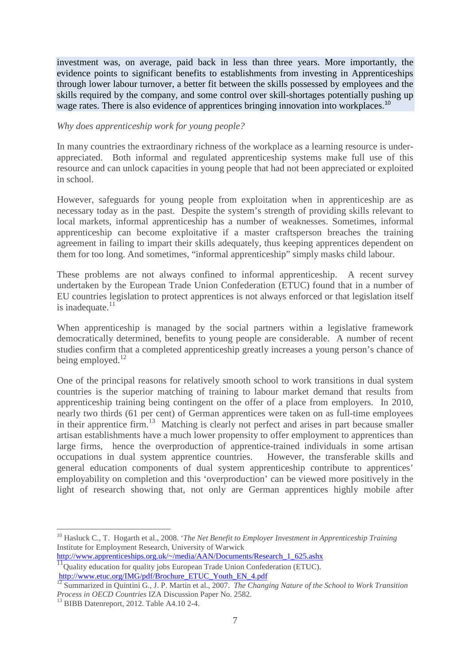investment was, on average, paid back in less than three years. More importantly, the evidence points to significant benefits to establishments from investing in Apprenticeships through lower labour turnover, a better fit between the skills possessed by employees and the skills required by the company, and some control over skill-shortages potentially pushing up wage rates. There is also evidence of apprentices bringing innovation into workplaces.<sup>10</sup>

### *Why does apprenticeship work for young people?*

In many countries the extraordinary richness of the workplace as a learning resource is underappreciated. Both informal and regulated apprenticeship systems make full use of this resource and can unlock capacities in young people that had not been appreciated or exploited in school.

However, safeguards for young people from exploitation when in apprenticeship are as necessary today as in the past. Despite the system's strength of providing skills relevant to local markets, informal apprenticeship has a number of weaknesses. Sometimes, informal apprenticeship can become exploitative if a master craftsperson breaches the training agreement in failing to impart their skills adequately, thus keeping apprentices dependent on them for too long. And sometimes, "informal apprenticeship" simply masks child labour.

These problems are not always confined to informal apprenticeship. A recent survey undertaken by the European Trade Union Confederation (ETUC) found that in a number of EU countries legislation to protect apprentices is not always enforced or that legislation itself is inadequate. $11$ 

When apprenticeship is managed by the social partners within a legislative framework democratically determined, benefits to young people are considerable. A number of recent studies confirm that a completed apprenticeship greatly increases a young person's chance of being employed. $^{12}$ 

One of the principal reasons for relatively smooth school to work transitions in dual system countries is the superior matching of training to labour market demand that results from apprenticeship training being contingent on the offer of a place from employers. In 2010, nearly two thirds (61 per cent) of German apprentices were taken on as full-time employees in their apprentice firm.<sup>13</sup> Matching is clearly not perfect and arises in part because smaller artisan establishments have a much lower propensity to offer employment to apprentices than large firms, hence the overproduction of apprentice-trained individuals in some artisan occupations in dual system apprentice countries. However, the transferable skills and general education components of dual system apprenticeship contribute to apprentices' employability on completion and this 'overproduction' can be viewed more positively in the light of research showing that, not only are German apprentices highly mobile after

http://www.apprenticeships.org.uk/~/media/AAN/Documents/Research\_1\_625.ashx  $1$ Quality education for quality jobs European Trade Union Confederation (ETUC).

http://www.etuc.org/IMG/pdf/Brochure\_ETUC\_Youth\_EN\_4.pdf

 $\overline{a}$ <sup>10</sup> Hasluck C., T. Hogarth et al., 2008. '*The Net Benefit to Employer Investment in Apprenticeship Training* Institute for Employment Research, University of Warwick

<sup>12</sup> Summarized in Quintini G., J. P. Martin et al., 2007. *The Changing Nature of the School to Work Transition Process in OECD Countries* IZA Discussion Paper No. 2582.

<sup>13</sup> BIBB Datenreport, 2012. Table A4.10 2-4.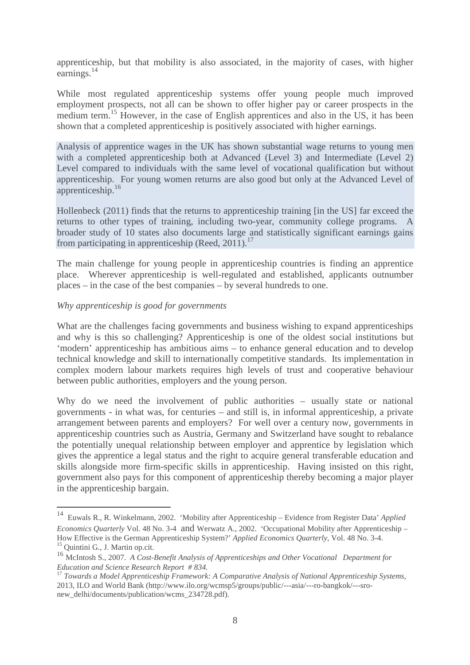apprenticeship, but that mobility is also associated, in the majority of cases, with higher earnings. $^{14}$ 

While most regulated apprenticeship systems offer young people much improved employment prospects, not all can be shown to offer higher pay or career prospects in the medium term.<sup>15</sup> However, in the case of English apprentices and also in the US, it has been shown that a completed apprenticeship is positively associated with higher earnings.

Analysis of apprentice wages in the UK has shown substantial wage returns to young men with a completed apprenticeship both at Advanced (Level 3) and Intermediate (Level 2) Level compared to individuals with the same level of vocational qualification but without apprenticeship. For young women returns are also good but only at the Advanced Level of apprenticeship.<sup>16</sup>

Hollenbeck (2011) finds that the returns to apprenticeship training [in the US] far exceed the returns to other types of training, including two-year, community college programs. A broader study of 10 states also documents large and statistically significant earnings gains from participating in apprenticeship (Reed, 2011).<sup>17</sup>

The main challenge for young people in apprenticeship countries is finding an apprentice place. Wherever apprenticeship is well-regulated and established, applicants outnumber places – in the case of the best companies – by several hundreds to one.

### *Why apprenticeship is good for governments*

What are the challenges facing governments and business wishing to expand apprenticeships and why is this so challenging? Apprenticeship is one of the oldest social institutions but 'modern' apprenticeship has ambitious aims – to enhance general education and to develop technical knowledge and skill to internationally competitive standards. Its implementation in complex modern labour markets requires high levels of trust and cooperative behaviour between public authorities, employers and the young person.

Why do we need the involvement of public authorities – usually state or national governments - in what was, for centuries – and still is, in informal apprenticeship, a private arrangement between parents and employers? For well over a century now, governments in apprenticeship countries such as Austria, Germany and Switzerland have sought to rebalance the potentially unequal relationship between employer and apprentice by legislation which gives the apprentice a legal status and the right to acquire general transferable education and skills alongside more firm-specific skills in apprenticeship. Having insisted on this right, government also pays for this component of apprenticeship thereby becoming a major player in the apprenticeship bargain.

<sup>14</sup> Euwals R., R. Winkelmann, 2002. 'Mobility after Apprenticeship – Evidence from Register Data' *Applied Economics Quarterly* Vol. 48 No. 3-4 and Werwatz A., 2002. 'Occupational Mobility after Apprenticeship – How Effective is the German Apprenticeship System?' *Applied Economics Quarterly,* Vol. 48 No. 3-4.

<sup>&</sup>lt;sup>15</sup> Ouintini G., J. Martin op.cit.

<sup>16</sup> McIntosh S., 2007. *A Cost-Benefit Analysis of Apprenticeships and Other Vocational Department for Education and Science Research Report # 834.*

<sup>17</sup> *Towards a Model Apprenticeship Framework: A Comparative Analysis of National Apprenticeship Systems*, 2013, ILO and World Bank (http://www.ilo.org/wcmsp5/groups/public/---asia/---ro-bangkok/---sronew\_delhi/documents/publication/wcms\_234728.pdf).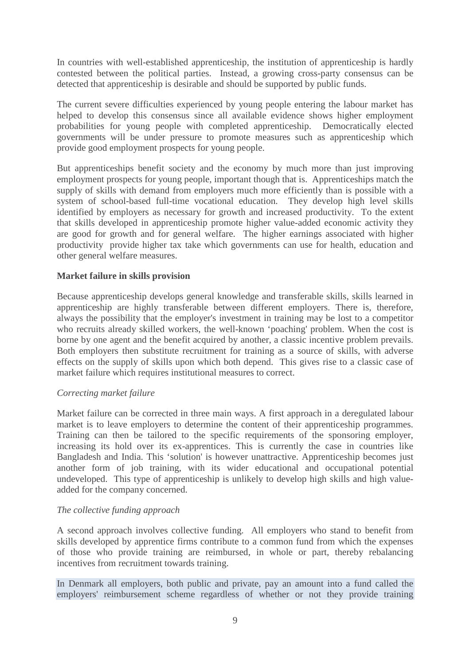In countries with well-established apprenticeship, the institution of apprenticeship is hardly contested between the political parties. Instead, a growing cross-party consensus can be detected that apprenticeship is desirable and should be supported by public funds.

The current severe difficulties experienced by young people entering the labour market has helped to develop this consensus since all available evidence shows higher employment probabilities for young people with completed apprenticeship. Democratically elected governments will be under pressure to promote measures such as apprenticeship which provide good employment prospects for young people.

But apprenticeships benefit society and the economy by much more than just improving employment prospects for young people, important though that is. Apprenticeships match the supply of skills with demand from employers much more efficiently than is possible with a system of school-based full-time vocational education. They develop high level skills identified by employers as necessary for growth and increased productivity. To the extent that skills developed in apprenticeship promote higher value-added economic activity they are good for growth and for general welfare. The higher earnings associated with higher productivity provide higher tax take which governments can use for health, education and other general welfare measures.

### **Market failure in skills provision**

Because apprenticeship develops general knowledge and transferable skills, skills learned in apprenticeship are highly transferable between different employers. There is, therefore, always the possibility that the employer's investment in training may be lost to a competitor who recruits already skilled workers, the well-known 'poaching' problem. When the cost is borne by one agent and the benefit acquired by another, a classic incentive problem prevails. Both employers then substitute recruitment for training as a source of skills, with adverse effects on the supply of skills upon which both depend. This gives rise to a classic case of market failure which requires institutional measures to correct.

### *Correcting market failure*

Market failure can be corrected in three main ways. A first approach in a deregulated labour market is to leave employers to determine the content of their apprenticeship programmes. Training can then be tailored to the specific requirements of the sponsoring employer, increasing its hold over its ex-apprentices. This is currently the case in countries like Bangladesh and India. This 'solution' is however unattractive. Apprenticeship becomes just another form of job training, with its wider educational and occupational potential undeveloped. This type of apprenticeship is unlikely to develop high skills and high valueadded for the company concerned.

### *The collective funding approach*

A second approach involves collective funding. All employers who stand to benefit from skills developed by apprentice firms contribute to a common fund from which the expenses of those who provide training are reimbursed, in whole or part, thereby rebalancing incentives from recruitment towards training.

In Denmark all employers, both public and private, pay an amount into a fund called the employers' reimbursement scheme regardless of whether or not they provide training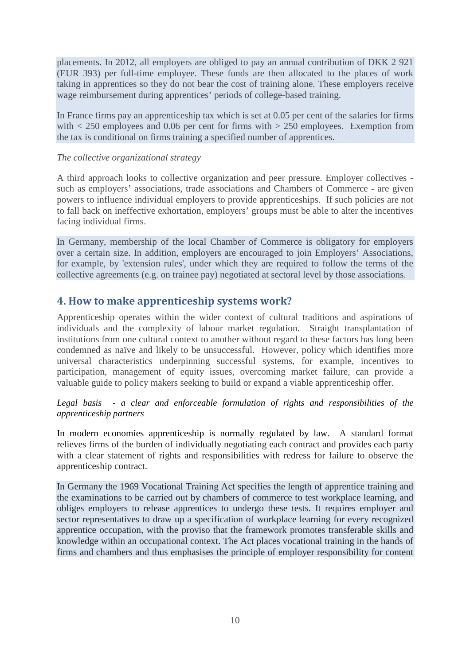placements. In 2012, all employers are obliged to pay an annual contribution of DKK 2 921 (EUR 393) per full-time employee. These funds are then allocated to the places of work taking in apprentices so they do not bear the cost of training alone. These employers receive wage reimbursement during apprentices' periods of college-based training.

In France firms pay an apprenticeship tax which is set at 0.05 per cent of the salaries for firms with  $\lt 250$  employees and 0.06 per cent for firms with  $> 250$  employees. Exemption from the tax is conditional on firms training a specified number of apprentices.

### *The collective organizational strategy*

A third approach looks to collective organization and peer pressure. Employer collectives such as employers' associations, trade associations and Chambers of Commerce - are given powers to influence individual employers to provide apprenticeships. If such policies are not to fall back on ineffective exhortation, employers' groups must be able to alter the incentives facing individual firms.

In Germany, membership of the local Chamber of Commerce is obligatory for employers over a certain size. In addition, employers are encouraged to join Employers' Associations, for example, by 'extension rules', under which they are required to follow the terms of the collective agreements (e.g. on trainee pay) negotiated at sectoral level by those associations.

### **4. How to make apprenticeship systems work?**

Apprenticeship operates within the wider context of cultural traditions and aspirations of individuals and the complexity of labour market regulation. Straight transplantation of institutions from one cultural context to another without regard to these factors has long been condemned as naïve and likely to be unsuccessful. However, policy which identifies more universal characteristics underpinning successful systems, for example, incentives to participation, management of equity issues, overcoming market failure, can provide a valuable guide to policy makers seeking to build or expand a viable apprenticeship offer.

*Legal basis - a clear and enforceable formulation of rights and responsibilities of the apprenticeship partners* 

In modern economies apprenticeship is normally regulated by law. A standard format relieves firms of the burden of individually negotiating each contract and provides each party with a clear statement of rights and responsibilities with redress for failure to observe the apprenticeship contract.

In Germany the 1969 Vocational Training Act specifies the length of apprentice training and the examinations to be carried out by chambers of commerce to test workplace learning, and obliges employers to release apprentices to undergo these tests. It requires employer and sector representatives to draw up a specification of workplace learning for every recognized apprentice occupation, with the proviso that the framework promotes transferable skills and knowledge within an occupational context. The Act places vocational training in the hands of firms and chambers and thus emphasises the principle of employer responsibility for content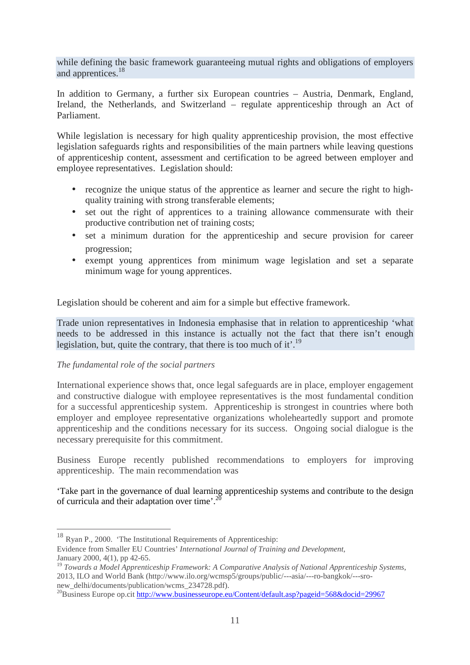while defining the basic framework guaranteeing mutual rights and obligations of employers and apprentices.<sup>18</sup>

In addition to Germany, a further six European countries – Austria, Denmark, England, Ireland, the Netherlands, and Switzerland – regulate apprenticeship through an Act of Parliament.

While legislation is necessary for high quality apprenticeship provision, the most effective legislation safeguards rights and responsibilities of the main partners while leaving questions of apprenticeship content, assessment and certification to be agreed between employer and employee representatives. Legislation should:

- recognize the unique status of the apprentice as learner and secure the right to highquality training with strong transferable elements;
- set out the right of apprentices to a training allowance commensurate with their productive contribution net of training costs;
- set a minimum duration for the apprenticeship and secure provision for career progression;
- exempt young apprentices from minimum wage legislation and set a separate minimum wage for young apprentices.

Legislation should be coherent and aim for a simple but effective framework.

Trade union representatives in Indonesia emphasise that in relation to apprenticeship 'what needs to be addressed in this instance is actually not the fact that there isn't enough legislation, but, quite the contrary, that there is too much of it'.<sup>19</sup>

### *The fundamental role of the social partners*

 $\overline{a}$ 

International experience shows that, once legal safeguards are in place, employer engagement and constructive dialogue with employee representatives is the most fundamental condition for a successful apprenticeship system. Apprenticeship is strongest in countries where both employer and employee representative organizations wholeheartedly support and promote apprenticeship and the conditions necessary for its success. Ongoing social dialogue is the necessary prerequisite for this commitment.

Business Europe recently published recommendations to employers for improving apprenticeship. The main recommendation was

'Take part in the governance of dual learning apprenticeship systems and contribute to the design of curricula and their adaptation over time'.<sup>20</sup>

<sup>18</sup> Ryan P., 2000. 'The Institutional Requirements of Apprenticeship:

Evidence from Smaller EU Countries' *International Journal of Training and Development*, January 2000, 4(1), pp 42-65.

<sup>19</sup> *Towards a Model Apprenticeship Framework: A Comparative Analysis of National Apprenticeship Systems*, 2013, ILO and World Bank (http://www.ilo.org/wcmsp5/groups/public/---asia/---ro-bangkok/---sronew\_delhi/documents/publication/wcms\_234728.pdf).

<sup>&</sup>lt;sup>20</sup>Business Europe op.cit http://www.businesseurope.eu/Content/default.asp?pageid=568&docid=29967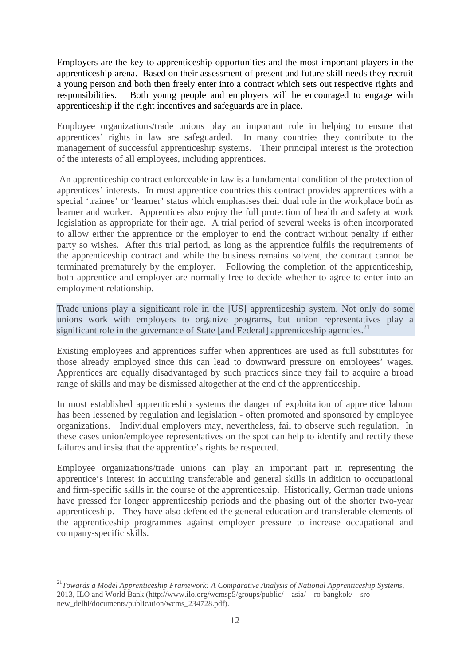Employers are the key to apprenticeship opportunities and the most important players in the apprenticeship arena. Based on their assessment of present and future skill needs they recruit a young person and both then freely enter into a contract which sets out respective rights and responsibilities. Both young people and employers will be encouraged to engage with apprenticeship if the right incentives and safeguards are in place.

Employee organizations/trade unions play an important role in helping to ensure that apprentices' rights in law are safeguarded. In many countries they contribute to the management of successful apprenticeship systems. Their principal interest is the protection of the interests of all employees, including apprentices.

 An apprenticeship contract enforceable in law is a fundamental condition of the protection of apprentices' interests. In most apprentice countries this contract provides apprentices with a special 'trainee' or 'learner' status which emphasises their dual role in the workplace both as learner and worker. Apprentices also enjoy the full protection of health and safety at work legislation as appropriate for their age. A trial period of several weeks is often incorporated to allow either the apprentice or the employer to end the contract without penalty if either party so wishes. After this trial period, as long as the apprentice fulfils the requirements of the apprenticeship contract and while the business remains solvent, the contract cannot be terminated prematurely by the employer. Following the completion of the apprenticeship, both apprentice and employer are normally free to decide whether to agree to enter into an employment relationship.

Trade unions play a significant role in the [US] apprenticeship system. Not only do some unions work with employers to organize programs, but union representatives play a significant role in the governance of State [and Federal] apprenticeship agencies.<sup>21</sup>

Existing employees and apprentices suffer when apprentices are used as full substitutes for those already employed since this can lead to downward pressure on employees' wages. Apprentices are equally disadvantaged by such practices since they fail to acquire a broad range of skills and may be dismissed altogether at the end of the apprenticeship.

In most established apprenticeship systems the danger of exploitation of apprentice labour has been lessened by regulation and legislation - often promoted and sponsored by employee organizations. Individual employers may, nevertheless, fail to observe such regulation. In these cases union/employee representatives on the spot can help to identify and rectify these failures and insist that the apprentice's rights be respected.

Employee organizations/trade unions can play an important part in representing the apprentice's interest in acquiring transferable and general skills in addition to occupational and firm-specific skills in the course of the apprenticeship. Historically, German trade unions have pressed for longer apprenticeship periods and the phasing out of the shorter two-year apprenticeship. They have also defended the general education and transferable elements of the apprenticeship programmes against employer pressure to increase occupational and company-specific skills.

<sup>21</sup>*Towards a Model Apprenticeship Framework: A Comparative Analysis of National Apprenticeship Systems*, 2013, ILO and World Bank (http://www.ilo.org/wcmsp5/groups/public/---asia/---ro-bangkok/---sronew\_delhi/documents/publication/wcms\_234728.pdf).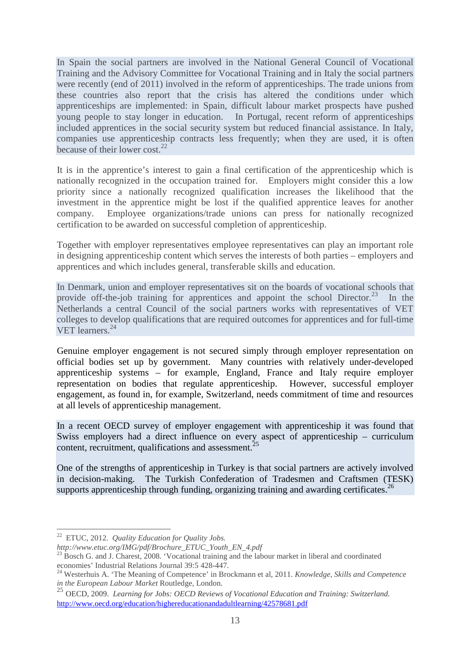In Spain the social partners are involved in the National General Council of Vocational Training and the Advisory Committee for Vocational Training and in Italy the social partners were recently (end of 2011) involved in the reform of apprenticeships. The trade unions from these countries also report that the crisis has altered the conditions under which apprenticeships are implemented: in Spain, difficult labour market prospects have pushed young people to stay longer in education. In Portugal, recent reform of apprenticeships included apprentices in the social security system but reduced financial assistance. In Italy, companies use apprenticeship contracts less frequently; when they are used, it is often because of their lower cost. $^{22}$ 

It is in the apprentice's interest to gain a final certification of the apprenticeship which is nationally recognized in the occupation trained for. Employers might consider this a low priority since a nationally recognized qualification increases the likelihood that the investment in the apprentice might be lost if the qualified apprentice leaves for another company. Employee organizations/trade unions can press for nationally recognized certification to be awarded on successful completion of apprenticeship.

Together with employer representatives employee representatives can play an important role in designing apprenticeship content which serves the interests of both parties – employers and apprentices and which includes general, transferable skills and education.

In Denmark, union and employer representatives sit on the boards of vocational schools that provide off-the-job training for apprentices and appoint the school Director.<sup>23</sup> In the Netherlands a central Council of the social partners works with representatives of VET colleges to develop qualifications that are required outcomes for apprentices and for full-time VET learners.<sup>24</sup>

Genuine employer engagement is not secured simply through employer representation on official bodies set up by government. Many countries with relatively under-developed apprenticeship systems – for example, England, France and Italy require employer representation on bodies that regulate apprenticeship. However, successful employer engagement, as found in, for example, Switzerland, needs commitment of time and resources at all levels of apprenticeship management.

In a recent OECD survey of employer engagement with apprenticeship it was found that Swiss employers had a direct influence on every aspect of apprenticeship – curriculum content, recruitment, qualifications and assessment.<sup>25</sup>

One of the strengths of apprenticeship in Turkey is that social partners are actively involved in decision-making. The Turkish Confederation of Tradesmen and Craftsmen (TESK) supports apprenticeship through funding, organizing training and awarding certificates.<sup>26</sup>

<sup>22</sup> ETUC, 2012. *Quality Education for Quality Jobs.* 

*http://www.etuc.org/IMG/pdf/Brochure\_ETUC\_Youth\_EN\_4.pdf*

<sup>&</sup>lt;sup>23</sup> Bosch G. and J. Charest, 2008. 'Vocational training and the labour market in liberal and coordinated economies' Industrial Relations Journal 39:5 428-447.

<sup>24</sup> Westerhuis A. 'The Meaning of Competence' in Brockmann et al, 2011. *Knowledge, Skills and Competence in the European Labour Market* Routledge, London.

<sup>25</sup> OECD, 2009. *Learning for Jobs: OECD Reviews of Vocational Education and Training: Switzerland.*  http://www.oecd.org/education/highereducationandadultlearning/42578681.pdf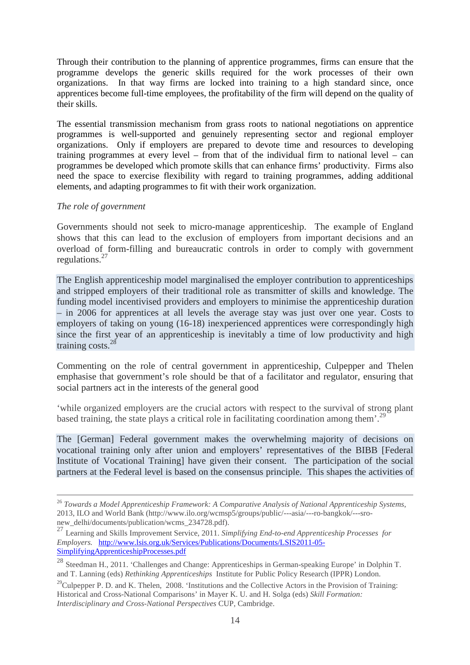Through their contribution to the planning of apprentice programmes, firms can ensure that the programme develops the generic skills required for the work processes of their own organizations. In that way firms are locked into training to a high standard since, once apprentices become full-time employees, the profitability of the firm will depend on the quality of their skills.

The essential transmission mechanism from grass roots to national negotiations on apprentice programmes is well-supported and genuinely representing sector and regional employer organizations. Only if employers are prepared to devote time and resources to developing training programmes at every level – from that of the individual firm to national level – can programmes be developed which promote skills that can enhance firms' productivity. Firms also need the space to exercise flexibility with regard to training programmes, adding additional elements, and adapting programmes to fit with their work organization.

### *The role of government*

 $\overline{a}$ 

Governments should not seek to micro-manage apprenticeship. The example of England shows that this can lead to the exclusion of employers from important decisions and an overload of form-filling and bureaucratic controls in order to comply with government regulations.<sup>27</sup>

The English apprenticeship model marginalised the employer contribution to apprenticeships and stripped employers of their traditional role as transmitter of skills and knowledge. The funding model incentivised providers and employers to minimise the apprenticeship duration – in 2006 for apprentices at all levels the average stay was just over one year. Costs to employers of taking on young (16-18) inexperienced apprentices were correspondingly high since the first year of an apprenticeship is inevitably a time of low productivity and high training costs. $28$ 

Commenting on the role of central government in apprenticeship, Culpepper and Thelen emphasise that government's role should be that of a facilitator and regulator, ensuring that social partners act in the interests of the general good

'while organized employers are the crucial actors with respect to the survival of strong plant based training, the state plays a critical role in facilitating coordination among them'.<sup>29</sup>

The [German] Federal government makes the overwhelming majority of decisions on vocational training only after union and employers' representatives of the BIBB [Federal Institute of Vocational Training] have given their consent. The participation of the social partners at the Federal level is based on the consensus principle. This shapes the activities of

<sup>26</sup> *Towards a Model Apprenticeship Framework: A Comparative Analysis of National Apprenticeship Systems*, 2013, ILO and World Bank (http://www.ilo.org/wcmsp5/groups/public/---asia/---ro-bangkok/---sronew\_delhi/documents/publication/wcms\_234728.pdf).

<sup>27</sup> Learning and Skills Improvement Service, 2011. *Simplifying End-to-end Apprenticeship Processes for Employers.* http://www.lsis.org.uk/Services/Publications/Documents/LSIS2011-05- Simplifying ApprenticeshipProcesses.pdf

<sup>28</sup> Steedman H., 2011. 'Challenges and Change: Apprenticeships in German-speaking Europe' in Dolphin T. and T. Lanning (eds) *Rethinking Apprenticeships* Institute for Public Policy Research (IPPR) London.

<sup>&</sup>lt;sup>29</sup>Culpepper P. D. and K. Thelen, 2008. 'Institutions and the Collective Actors in the Provision of Training: Historical and Cross-National Comparisons' in Mayer K. U. and H. Solga (eds) *Skill Formation: Interdisciplinary and Cross-National Perspectives* CUP, Cambridge.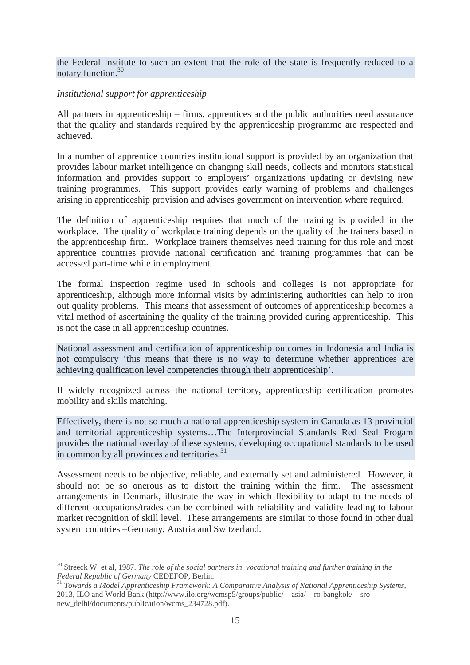the Federal Institute to such an extent that the role of the state is frequently reduced to a notary function.<sup>30</sup>

### *Institutional support for apprenticeship*

 $\overline{a}$ 

All partners in apprenticeship – firms, apprentices and the public authorities need assurance that the quality and standards required by the apprenticeship programme are respected and achieved.

In a number of apprentice countries institutional support is provided by an organization that provides labour market intelligence on changing skill needs, collects and monitors statistical information and provides support to employers' organizations updating or devising new training programmes. This support provides early warning of problems and challenges arising in apprenticeship provision and advises government on intervention where required.

The definition of apprenticeship requires that much of the training is provided in the workplace. The quality of workplace training depends on the quality of the trainers based in the apprenticeship firm. Workplace trainers themselves need training for this role and most apprentice countries provide national certification and training programmes that can be accessed part-time while in employment.

The formal inspection regime used in schools and colleges is not appropriate for apprenticeship, although more informal visits by administering authorities can help to iron out quality problems. This means that assessment of outcomes of apprenticeship becomes a vital method of ascertaining the quality of the training provided during apprenticeship. This is not the case in all apprenticeship countries.

National assessment and certification of apprenticeship outcomes in Indonesia and India is not compulsory 'this means that there is no way to determine whether apprentices are achieving qualification level competencies through their apprenticeship'.

If widely recognized across the national territory, apprenticeship certification promotes mobility and skills matching.

Effectively, there is not so much a national apprenticeship system in Canada as 13 provincial and territorial apprenticeship systems…The Interprovincial Standards Red Seal Progam provides the national overlay of these systems, developing occupational standards to be used in common by all provinces and territories.<sup>31</sup>

Assessment needs to be objective, reliable, and externally set and administered. However, it should not be so onerous as to distort the training within the firm. The assessment arrangements in Denmark, illustrate the way in which flexibility to adapt to the needs of different occupations/trades can be combined with reliability and validity leading to labour market recognition of skill level. These arrangements are similar to those found in other dual system countries –Germany, Austria and Switzerland.

<sup>&</sup>lt;sup>30</sup> Streeck W. et al, 1987. *The role of the social partners in vocational training and further training in the Federal Republic of Germany* CEDEFOP, Berlin.

<sup>31</sup> *Towards a Model Apprenticeship Framework: A Comparative Analysis of National Apprenticeship Systems*, 2013, ILO and World Bank (http://www.ilo.org/wcmsp5/groups/public/---asia/---ro-bangkok/---sronew\_delhi/documents/publication/wcms\_234728.pdf).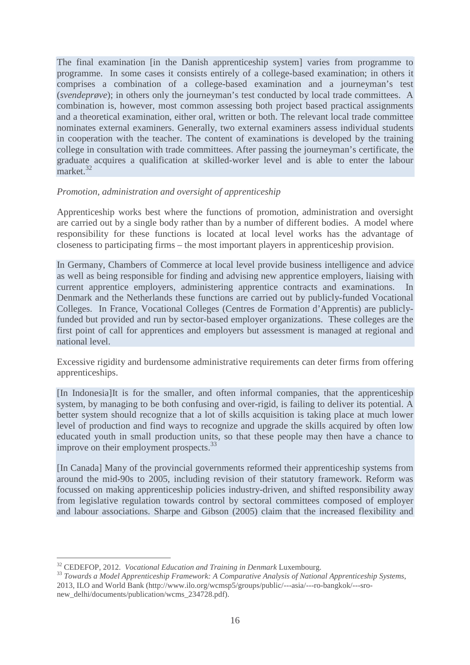The final examination [in the Danish apprenticeship system] varies from programme to programme. In some cases it consists entirely of a college-based examination; in others it comprises a combination of a college-based examination and a journeyman's test (*svendeprøve*); in others only the journeyman's test conducted by local trade committees. A combination is, however, most common assessing both project based practical assignments and a theoretical examination, either oral, written or both. The relevant local trade committee nominates external examiners. Generally, two external examiners assess individual students in cooperation with the teacher. The content of examinations is developed by the training college in consultation with trade committees. After passing the journeyman's certificate, the graduate acquires a qualification at skilled-worker level and is able to enter the labour market $32$ 

### *Promotion, administration and oversight of apprenticeship*

Apprenticeship works best where the functions of promotion, administration and oversight are carried out by a single body rather than by a number of different bodies. A model where responsibility for these functions is located at local level works has the advantage of closeness to participating firms – the most important players in apprenticeship provision.

In Germany, Chambers of Commerce at local level provide business intelligence and advice as well as being responsible for finding and advising new apprentice employers, liaising with current apprentice employers, administering apprentice contracts and examinations. In Denmark and the Netherlands these functions are carried out by publicly-funded Vocational Colleges. In France, Vocational Colleges (Centres de Formation d'Apprentis) are publiclyfunded but provided and run by sector-based employer organizations. These colleges are the first point of call for apprentices and employers but assessment is managed at regional and national level.

Excessive rigidity and burdensome administrative requirements can deter firms from offering apprenticeships.

[In Indonesia]It is for the smaller, and often informal companies, that the apprenticeship system, by managing to be both confusing and over-rigid, is failing to deliver its potential. A better system should recognize that a lot of skills acquisition is taking place at much lower level of production and find ways to recognize and upgrade the skills acquired by often low educated youth in small production units, so that these people may then have a chance to improve on their employment prospects.<sup>33</sup>

[In Canada] Many of the provincial governments reformed their apprenticeship systems from around the mid-90s to 2005, including revision of their statutory framework. Reform was focussed on making apprenticeship policies industry-driven, and shifted responsibility away from legislative regulation towards control by sectoral committees composed of employer and labour associations. Sharpe and Gibson (2005) claim that the increased flexibility and

 $\overline{a}$ <sup>32</sup> CEDEFOP, 2012. *Vocational Education and Training in Denmark* Luxembourg.

<sup>33</sup> *Towards a Model Apprenticeship Framework: A Comparative Analysis of National Apprenticeship Systems*, 2013, ILO and World Bank (http://www.ilo.org/wcmsp5/groups/public/---asia/---ro-bangkok/---sronew\_delhi/documents/publication/wcms\_234728.pdf).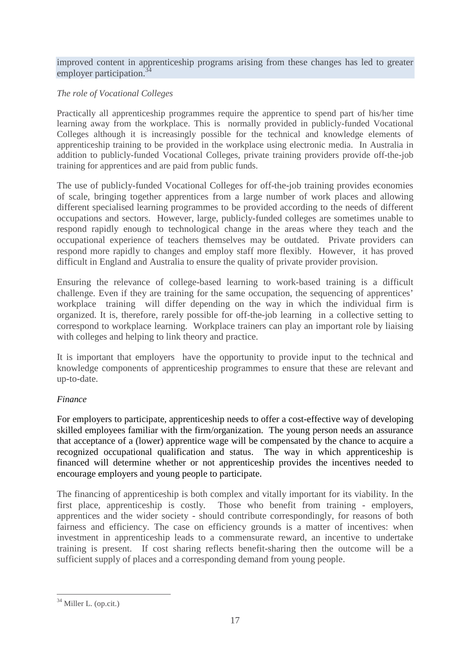improved content in apprenticeship programs arising from these changes has led to greater employer participation.<sup>3</sup>

### *The role of Vocational Colleges*

Practically all apprenticeship programmes require the apprentice to spend part of his/her time learning away from the workplace. This is normally provided in publicly-funded Vocational Colleges although it is increasingly possible for the technical and knowledge elements of apprenticeship training to be provided in the workplace using electronic media. In Australia in addition to publicly-funded Vocational Colleges, private training providers provide off-the-job training for apprentices and are paid from public funds.

The use of publicly-funded Vocational Colleges for off-the-job training provides economies of scale, bringing together apprentices from a large number of work places and allowing different specialised learning programmes to be provided according to the needs of different occupations and sectors. However, large, publicly-funded colleges are sometimes unable to respond rapidly enough to technological change in the areas where they teach and the occupational experience of teachers themselves may be outdated. Private providers can respond more rapidly to changes and employ staff more flexibly. However, it has proved difficult in England and Australia to ensure the quality of private provider provision.

Ensuring the relevance of college-based learning to work-based training is a difficult challenge. Even if they are training for the same occupation, the sequencing of apprentices' workplace training will differ depending on the way in which the individual firm is organized. It is, therefore, rarely possible for off-the-job learning in a collective setting to correspond to workplace learning. Workplace trainers can play an important role by liaising with colleges and helping to link theory and practice.

It is important that employers have the opportunity to provide input to the technical and knowledge components of apprenticeship programmes to ensure that these are relevant and up-to-date.

### *Finance*

For employers to participate, apprenticeship needs to offer a cost-effective way of developing skilled employees familiar with the firm/organization. The young person needs an assurance that acceptance of a (lower) apprentice wage will be compensated by the chance to acquire a recognized occupational qualification and status. The way in which apprenticeship is financed will determine whether or not apprenticeship provides the incentives needed to encourage employers and young people to participate.

The financing of apprenticeship is both complex and vitally important for its viability. In the first place, apprenticeship is costly. Those who benefit from training - employers, apprentices and the wider society - should contribute correspondingly, for reasons of both fairness and efficiency. The case on efficiency grounds is a matter of incentives: when investment in apprenticeship leads to a commensurate reward, an incentive to undertake training is present. If cost sharing reflects benefit-sharing then the outcome will be a sufficient supply of places and a corresponding demand from young people.

<sup>&</sup>lt;sup>34</sup> Miller L. (op.cit.)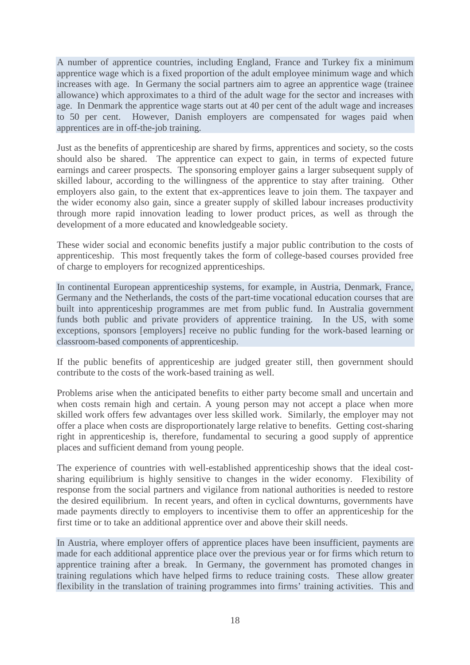A number of apprentice countries, including England, France and Turkey fix a minimum apprentice wage which is a fixed proportion of the adult employee minimum wage and which increases with age. In Germany the social partners aim to agree an apprentice wage (trainee allowance) which approximates to a third of the adult wage for the sector and increases with age. In Denmark the apprentice wage starts out at 40 per cent of the adult wage and increases to 50 per cent. However, Danish employers are compensated for wages paid when apprentices are in off-the-job training.

Just as the benefits of apprenticeship are shared by firms, apprentices and society, so the costs should also be shared. The apprentice can expect to gain, in terms of expected future earnings and career prospects. The sponsoring employer gains a larger subsequent supply of skilled labour, according to the willingness of the apprentice to stay after training. Other employers also gain, to the extent that ex-apprentices leave to join them. The taxpayer and the wider economy also gain, since a greater supply of skilled labour increases productivity through more rapid innovation leading to lower product prices, as well as through the development of a more educated and knowledgeable society.

These wider social and economic benefits justify a major public contribution to the costs of apprenticeship. This most frequently takes the form of college-based courses provided free of charge to employers for recognized apprenticeships.

In continental European apprenticeship systems, for example, in Austria, Denmark, France, Germany and the Netherlands, the costs of the part-time vocational education courses that are built into apprenticeship programmes are met from public fund. In Australia government funds both public and private providers of apprentice training. In the US, with some exceptions, sponsors [employers] receive no public funding for the work-based learning or classroom-based components of apprenticeship.

If the public benefits of apprenticeship are judged greater still, then government should contribute to the costs of the work-based training as well.

Problems arise when the anticipated benefits to either party become small and uncertain and when costs remain high and certain. A young person may not accept a place when more skilled work offers few advantages over less skilled work. Similarly, the employer may not offer a place when costs are disproportionately large relative to benefits. Getting cost-sharing right in apprenticeship is, therefore, fundamental to securing a good supply of apprentice places and sufficient demand from young people.

The experience of countries with well-established apprenticeship shows that the ideal costsharing equilibrium is highly sensitive to changes in the wider economy. Flexibility of response from the social partners and vigilance from national authorities is needed to restore the desired equilibrium. In recent years, and often in cyclical downturns, governments have made payments directly to employers to incentivise them to offer an apprenticeship for the first time or to take an additional apprentice over and above their skill needs.

In Austria, where employer offers of apprentice places have been insufficient, payments are made for each additional apprentice place over the previous year or for firms which return to apprentice training after a break. In Germany, the government has promoted changes in training regulations which have helped firms to reduce training costs. These allow greater flexibility in the translation of training programmes into firms' training activities. This and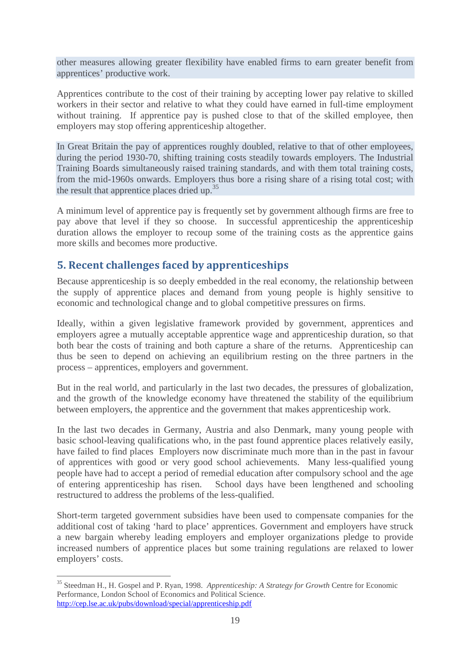other measures allowing greater flexibility have enabled firms to earn greater benefit from apprentices' productive work.

Apprentices contribute to the cost of their training by accepting lower pay relative to skilled workers in their sector and relative to what they could have earned in full-time employment without training. If apprentice pay is pushed close to that of the skilled employee, then employers may stop offering apprenticeship altogether.

In Great Britain the pay of apprentices roughly doubled, relative to that of other employees, during the period 1930-70, shifting training costs steadily towards employers. The Industrial Training Boards simultaneously raised training standards, and with them total training costs, from the mid-1960s onwards. Employers thus bore a rising share of a rising total cost; with the result that apprentice places dried up.  $35<sup>35</sup>$ 

A minimum level of apprentice pay is frequently set by government although firms are free to pay above that level if they so choose. In successful apprenticeship the apprenticeship duration allows the employer to recoup some of the training costs as the apprentice gains more skills and becomes more productive.

### **5. Recent challenges faced by apprenticeships**

Because apprenticeship is so deeply embedded in the real economy, the relationship between the supply of apprentice places and demand from young people is highly sensitive to economic and technological change and to global competitive pressures on firms.

Ideally, within a given legislative framework provided by government, apprentices and employers agree a mutually acceptable apprentice wage and apprenticeship duration, so that both bear the costs of training and both capture a share of the returns. Apprenticeship can thus be seen to depend on achieving an equilibrium resting on the three partners in the process – apprentices, employers and government.

But in the real world, and particularly in the last two decades, the pressures of globalization, and the growth of the knowledge economy have threatened the stability of the equilibrium between employers, the apprentice and the government that makes apprenticeship work.

In the last two decades in Germany, Austria and also Denmark, many young people with basic school-leaving qualifications who, in the past found apprentice places relatively easily, have failed to find places Employers now discriminate much more than in the past in favour of apprentices with good or very good school achievements. Many less-qualified young people have had to accept a period of remedial education after compulsory school and the age of entering apprenticeship has risen. School days have been lengthened and schooling restructured to address the problems of the less-qualified.

Short-term targeted government subsidies have been used to compensate companies for the additional cost of taking 'hard to place' apprentices. Government and employers have struck a new bargain whereby leading employers and employer organizations pledge to provide increased numbers of apprentice places but some training regulations are relaxed to lower employers' costs.

<sup>35</sup> Steedman H., H. Gospel and P. Ryan, 1998. *Apprenticeship: A Strategy for Growth* Centre for Economic Performance, London School of Economics and Political Science. http://cep.lse.ac.uk/pubs/download/special/apprenticeship.pdf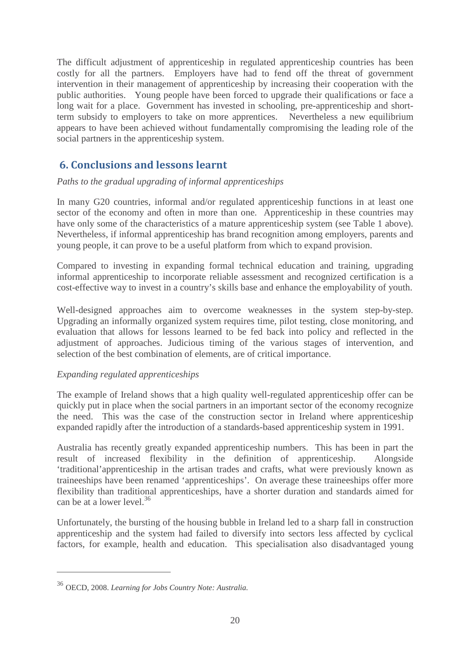The difficult adjustment of apprenticeship in regulated apprenticeship countries has been costly for all the partners. Employers have had to fend off the threat of government intervention in their management of apprenticeship by increasing their cooperation with the public authorities. Young people have been forced to upgrade their qualifications or face a long wait for a place. Government has invested in schooling, pre-apprenticeship and shortterm subsidy to employers to take on more apprentices. Nevertheless a new equilibrium appears to have been achieved without fundamentally compromising the leading role of the social partners in the apprenticeship system.

### **6. Conclusions and lessons learnt**

### *Paths to the gradual upgrading of informal apprenticeships*

In many G20 countries, informal and/or regulated apprenticeship functions in at least one sector of the economy and often in more than one. Apprenticeship in these countries may have only some of the characteristics of a mature apprenticeship system (see Table 1 above). Nevertheless, if informal apprenticeship has brand recognition among employers, parents and young people, it can prove to be a useful platform from which to expand provision.

Compared to investing in expanding formal technical education and training, upgrading informal apprenticeship to incorporate reliable assessment and recognized certification is a cost-effective way to invest in a country's skills base and enhance the employability of youth.

Well-designed approaches aim to overcome weaknesses in the system step-by-step. Upgrading an informally organized system requires time, pilot testing, close monitoring, and evaluation that allows for lessons learned to be fed back into policy and reflected in the adjustment of approaches. Judicious timing of the various stages of intervention, and selection of the best combination of elements, are of critical importance.

### *Expanding regulated apprenticeships*

The example of Ireland shows that a high quality well-regulated apprenticeship offer can be quickly put in place when the social partners in an important sector of the economy recognize the need. This was the case of the construction sector in Ireland where apprenticeship expanded rapidly after the introduction of a standards-based apprenticeship system in 1991.

Australia has recently greatly expanded apprenticeship numbers. This has been in part the result of increased flexibility in the definition of apprenticeship. Alongside 'traditional'apprenticeship in the artisan trades and crafts, what were previously known as traineeships have been renamed 'apprenticeships'. On average these traineeships offer more flexibility than traditional apprenticeships, have a shorter duration and standards aimed for can be at a lower level.<sup>36</sup>

Unfortunately, the bursting of the housing bubble in Ireland led to a sharp fall in construction apprenticeship and the system had failed to diversify into sectors less affected by cyclical factors, for example, health and education. This specialisation also disadvantaged young

<sup>36</sup> OECD, 2008. *Learning for Jobs Country Note: Australia.*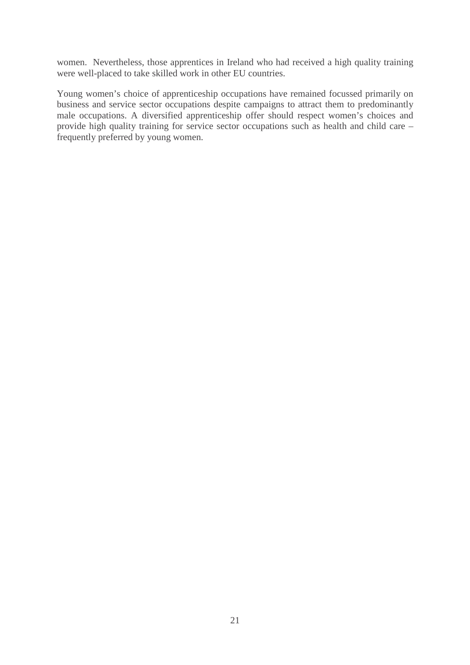women. Nevertheless, those apprentices in Ireland who had received a high quality training were well-placed to take skilled work in other EU countries.

Young women's choice of apprenticeship occupations have remained focussed primarily on business and service sector occupations despite campaigns to attract them to predominantly male occupations. A diversified apprenticeship offer should respect women's choices and provide high quality training for service sector occupations such as health and child care – frequently preferred by young women.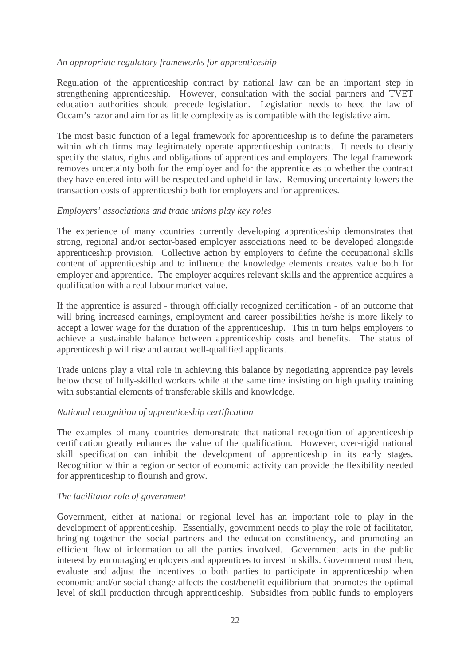### *An appropriate regulatory frameworks for apprenticeship*

Regulation of the apprenticeship contract by national law can be an important step in strengthening apprenticeship. However, consultation with the social partners and TVET education authorities should precede legislation. Legislation needs to heed the law of Occam's razor and aim for as little complexity as is compatible with the legislative aim.

The most basic function of a legal framework for apprenticeship is to define the parameters within which firms may legitimately operate apprenticeship contracts. It needs to clearly specify the status, rights and obligations of apprentices and employers. The legal framework removes uncertainty both for the employer and for the apprentice as to whether the contract they have entered into will be respected and upheld in law. Removing uncertainty lowers the transaction costs of apprenticeship both for employers and for apprentices.

### *Employers' associations and trade unions play key roles*

The experience of many countries currently developing apprenticeship demonstrates that strong, regional and/or sector-based employer associations need to be developed alongside apprenticeship provision. Collective action by employers to define the occupational skills content of apprenticeship and to influence the knowledge elements creates value both for employer and apprentice. The employer acquires relevant skills and the apprentice acquires a qualification with a real labour market value.

If the apprentice is assured - through officially recognized certification - of an outcome that will bring increased earnings, employment and career possibilities he/she is more likely to accept a lower wage for the duration of the apprenticeship. This in turn helps employers to achieve a sustainable balance between apprenticeship costs and benefits. The status of apprenticeship will rise and attract well-qualified applicants.

Trade unions play a vital role in achieving this balance by negotiating apprentice pay levels below those of fully-skilled workers while at the same time insisting on high quality training with substantial elements of transferable skills and knowledge.

### *National recognition of apprenticeship certification*

The examples of many countries demonstrate that national recognition of apprenticeship certification greatly enhances the value of the qualification. However, over-rigid national skill specification can inhibit the development of apprenticeship in its early stages. Recognition within a region or sector of economic activity can provide the flexibility needed for apprenticeship to flourish and grow.

### *The facilitator role of government*

Government, either at national or regional level has an important role to play in the development of apprenticeship. Essentially, government needs to play the role of facilitator, bringing together the social partners and the education constituency, and promoting an efficient flow of information to all the parties involved. Government acts in the public interest by encouraging employers and apprentices to invest in skills. Government must then, evaluate and adjust the incentives to both parties to participate in apprenticeship when economic and/or social change affects the cost/benefit equilibrium that promotes the optimal level of skill production through apprenticeship. Subsidies from public funds to employers